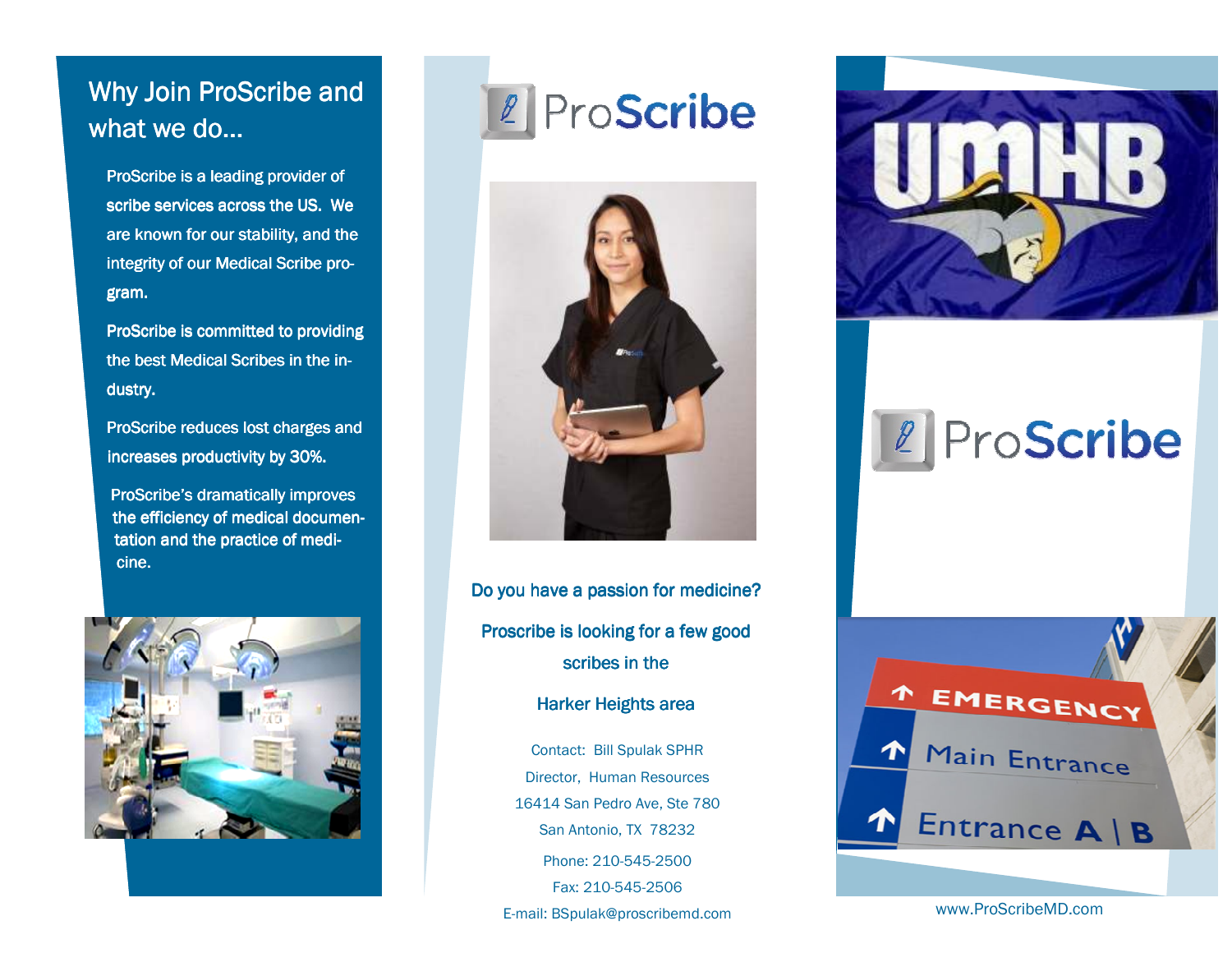## Why Join ProScribe and what we do…

ProScribe is a leading provider of scribe services across the US. We are known for our stability, and the integrity of our Medical Scribe program.

ProScribe is committed to providing the best Medical Scribes in the industry.

ProScribe reduces lost charges and increases productivity by 30%.

ProScribe's dramatically improves the efficiency of medical documentation and the practice of medicine.



2 ProScribe



Do you have a passion for medicine? Proscribe is looking for a few good scribes in the

Harker Heights area

Contact: Bill Spulak SPHR Director, Human Resources 16414 San Pedro Ave, Ste 780 San Antonio, TX 78232 Phone: 210-545-2500 Fax: 210-545-2506 E-mail: BSpulak@proscribemd.com



## 2 ProScribe



www.ProScribeMD.com